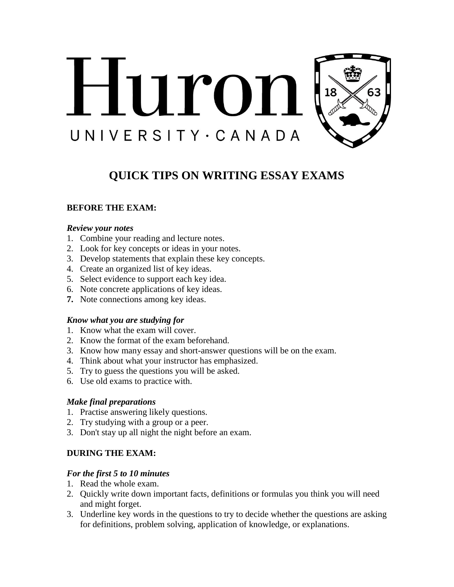

# **QUICK TIPS ON WRITING ESSAY EXAMS**

# **BEFORE THE EXAM:**

#### *Review your notes*

- 1. Combine your reading and lecture notes.
- 2. Look for key concepts or ideas in your notes.
- 3. Develop statements that explain these key concepts.
- 4. Create an organized list of key ideas.
- 5. Select evidence to support each key idea.
- 6. Note concrete applications of key ideas.
- **7.** Note connections among key ideas.

#### *Know what you are studying for*

- 1. Know what the exam will cover.
- 2. Know the format of the exam beforehand.
- 3. Know how many essay and short-answer questions will be on the exam.
- 4. Think about what your instructor has emphasized.
- 5. Try to guess the questions you will be asked.
- 6. Use old exams to practice with.

#### *Make final preparations*

- 1. Practise answering likely questions.
- 2. Try studying with a group or a peer.
- 3. Don't stay up all night the night before an exam.

#### **DURING THE EXAM:**

#### *For the first 5 to 10 minutes*

- 1. Read the whole exam.
- 2. Quickly write down important facts, definitions or formulas you think you will need and might forget.
- 3. Underline key words in the questions to try to decide whether the questions are asking for definitions, problem solving, application of knowledge, or explanations.